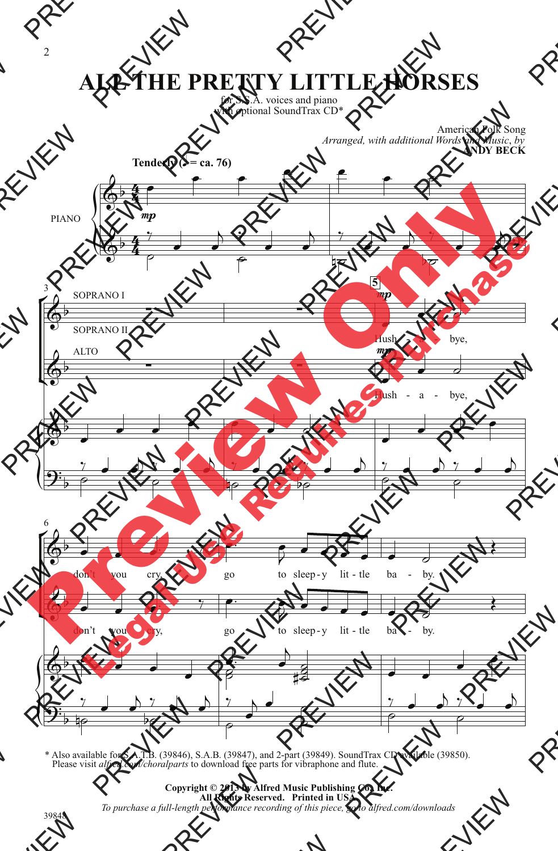## **ALL THE PRETTY LITTLE HORSES**

for S.S.A. voices and piano with optional SoundTrax CD\*

American Folk Song



\* Also available for S.A.T.B. (39846), S.A.B. (39847), and 2-part (39849). SoundTrax CD available (39850). Please visit *alfred.com/choralparts* to download free parts for vibraphone and flute.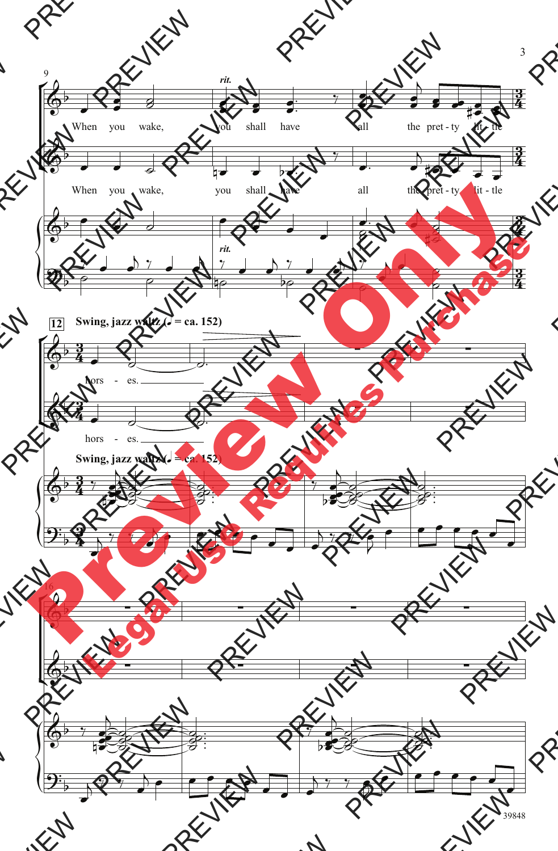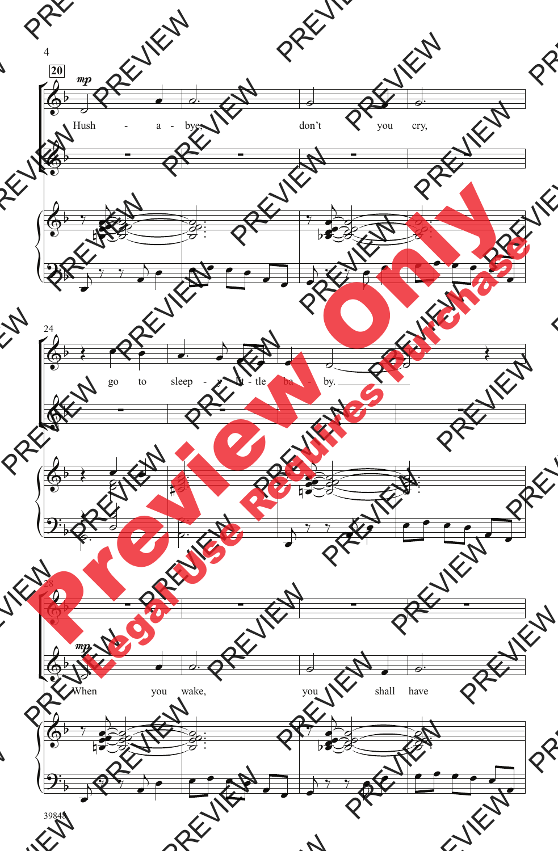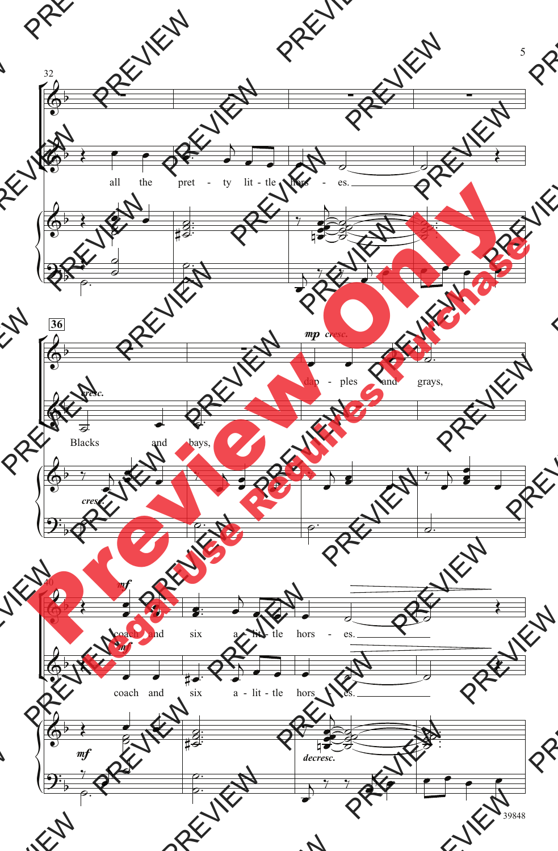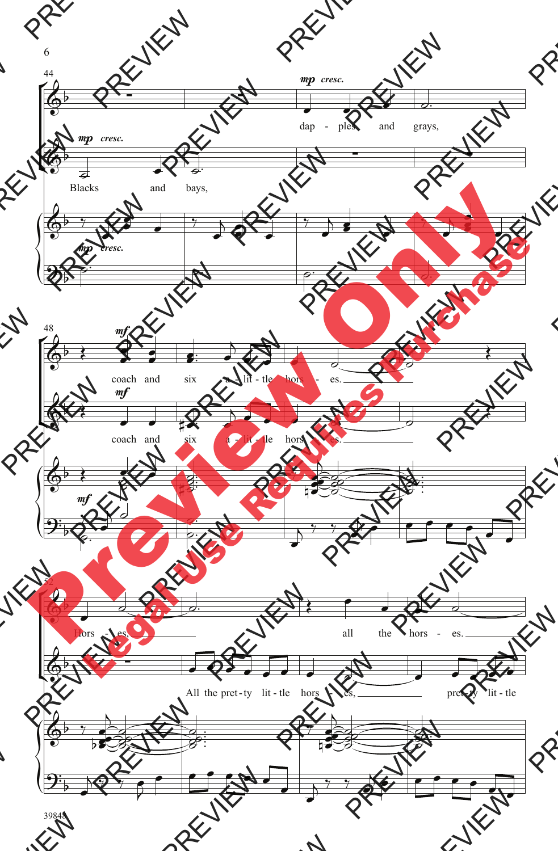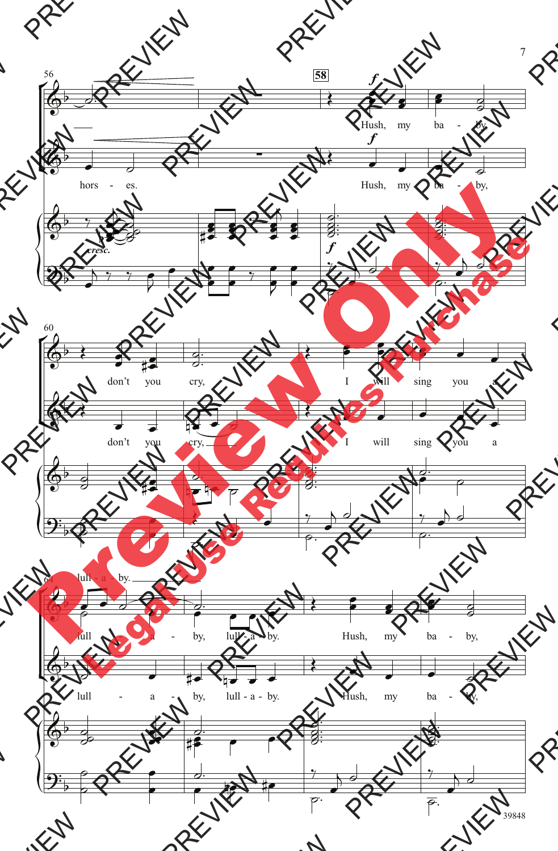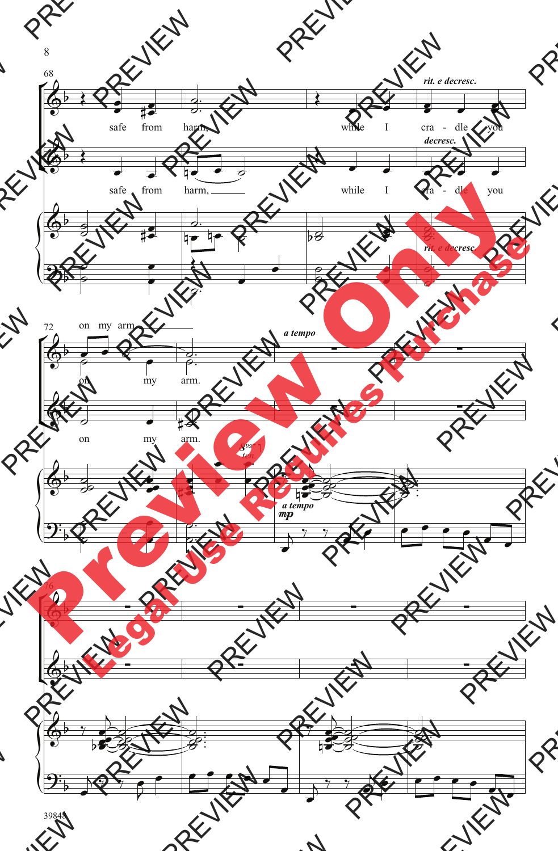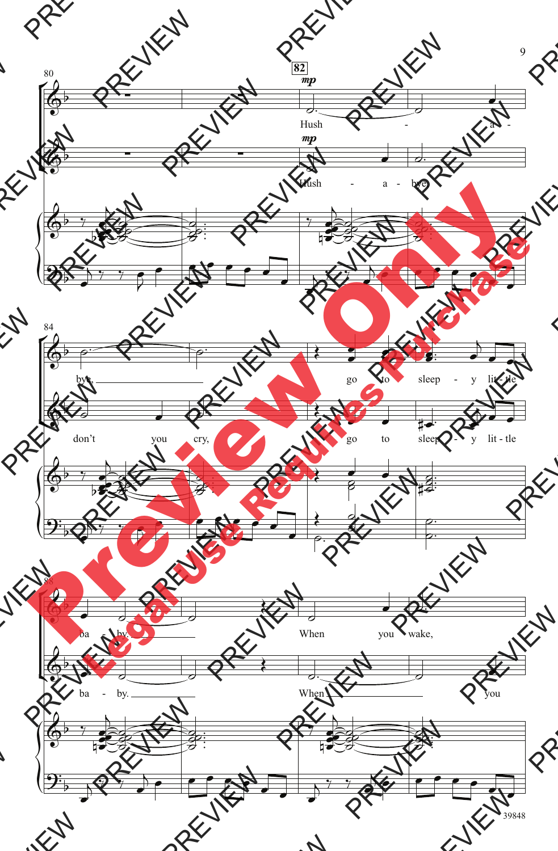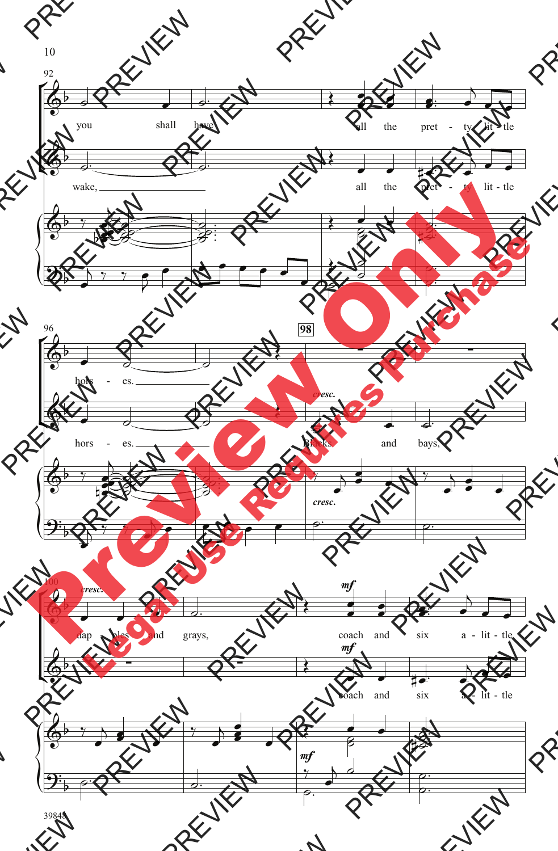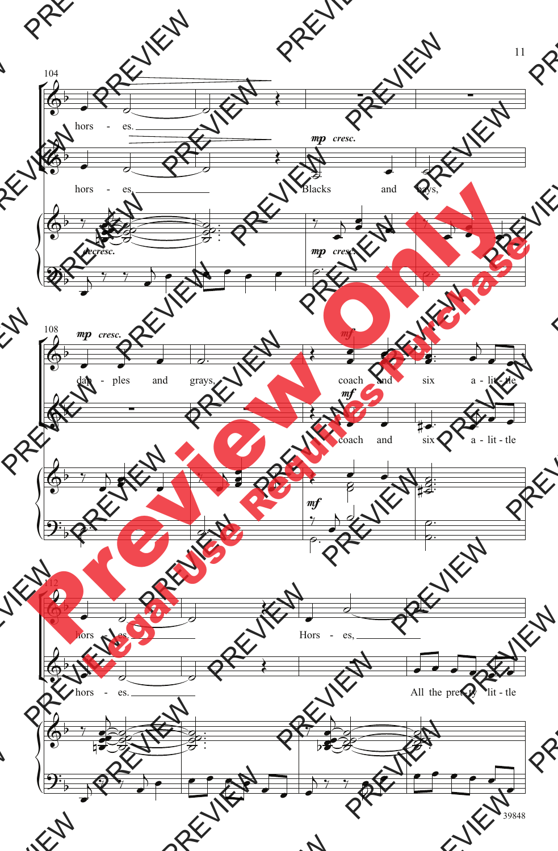